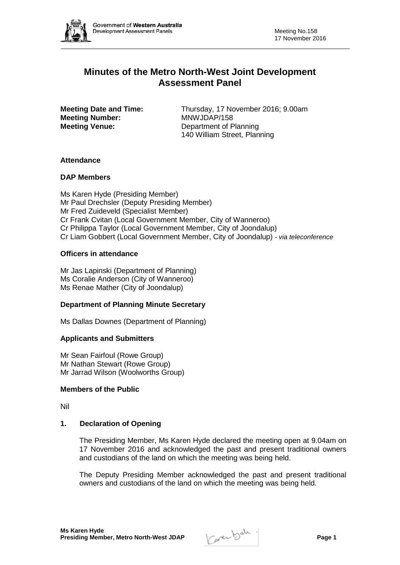

# **Minutes of the Metro North-West Joint Development Assessment Panel**

**Meeting Number:<br>Meeting Venue:** 

**Meeting Date and Time:** Thursday, 17 November 2016; 9.00am<br> **MONILLARY 158 Department of Planning** 140 William Street, Planning

# **Attendance**

# **DAP Members**

Ms Karen Hyde (Presiding Member) Mr Paul Drechsler (Deputy Presiding Member) Mr Fred Zuideveld (Specialist Member) Cr Frank Cvitan (Local Government Member, City of Wanneroo) Cr Philippa Taylor (Local Government Member, City of Joondalup) Cr Liam Gobbert (Local Government Member, City of Joondalup) *- via teleconference*

# **Officers in attendance**

Mr Jas Lapinski (Department of Planning) Ms Coralie Anderson (City of Wanneroo) Ms Renae Mather (City of Joondalup)

# **Department of Planning Minute Secretary**

Ms Dallas Downes (Department of Planning)

# **Applicants and Submitters**

Mr Sean Fairfoul (Rowe Group) Mr Nathan Stewart (Rowe Group) Mr Jarrad Wilson (Woolworths Group)

# **Members of the Public**

Nil

# **1. Declaration of Opening**

The Presiding Member, Ms Karen Hyde declared the meeting open at 9.04am on 17 November 2016 and acknowledged the past and present traditional owners and custodians of the land on which the meeting was being held.

The Deputy Presiding Member acknowledged the past and present traditional owners and custodians of the land on which the meeting was being held.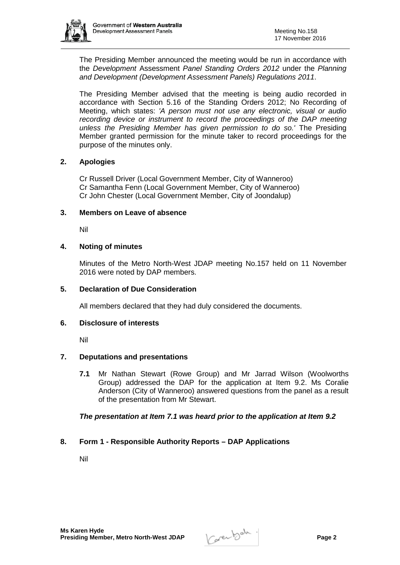

The Presiding Member announced the meeting would be run in accordance with the *Development* Assessment *Panel Standing Orders 2012* under the *Planning and Development (Development Assessment Panels) Regulations 2011*.

The Presiding Member advised that the meeting is being audio recorded in accordance with Section 5.16 of the Standing Orders 2012; No Recording of Meeting, which states: *'A person must not use any electronic, visual or audio*  recording device or instrument to record the proceedings of the DAP meeting *unless the Presiding Member has given permission to do so.'* The Presiding Member granted permission for the minute taker to record proceedings for the purpose of the minutes only.

# **2. Apologies**

Cr Russell Driver (Local Government Member, City of Wanneroo) Cr Samantha Fenn (Local Government Member, City of Wanneroo) Cr John Chester (Local Government Member, City of Joondalup)

#### **3. Members on Leave of absence**

Nil

# **4. Noting of minutes**

Minutes of the Metro North-West JDAP meeting No.157 held on 11 November 2016 were noted by DAP members.

#### **5. Declaration of Due Consideration**

All members declared that they had duly considered the documents.

#### **6. Disclosure of interests**

Nil

# **7. Deputations and presentations**

**7.1** Mr Nathan Stewart (Rowe Group) and Mr Jarrad Wilson (Woolworths Group) addressed the DAP for the application at Item 9.2. Ms Coralie Anderson (City of Wanneroo) answered questions from the panel as a result of the presentation from Mr Stewart.

# *The presentation at Item 7.1 was heard prior to the application at Item 9.2*

# **8. Form 1 - Responsible Authority Reports – DAP Applications**

Nil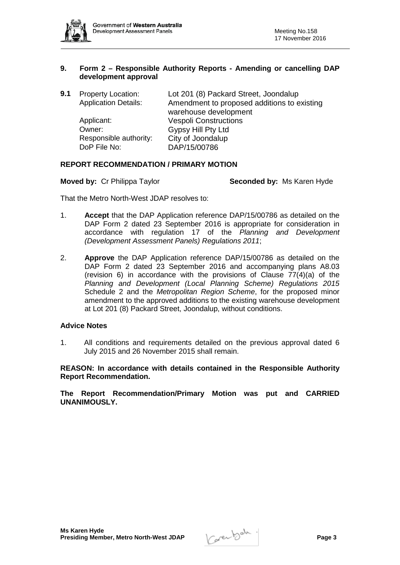

#### **9. Form 2 – Responsible Authority Reports - Amending or cancelling DAP development approval**

| 9.1 | <b>Property Location:</b><br><b>Application Details:</b> | Lot 201 (8) Packard Street, Joondalup<br>Amendment to proposed additions to existing<br>warehouse development |
|-----|----------------------------------------------------------|---------------------------------------------------------------------------------------------------------------|
|     | Applicant:<br>Owner:                                     | <b>Vespoli Constructions</b><br>Gypsy Hill Pty Ltd                                                            |
|     | Responsible authority:<br>DoP File No:                   | City of Joondalup<br>DAP/15/00786                                                                             |

#### **REPORT RECOMMENDATION / PRIMARY MOTION**

**Moved by: Cr Philippa Taylor <b>Seconded by:** Ms Karen Hyde

That the Metro North-West JDAP resolves to:

- 1. **Accept** that the DAP Application reference DAP/15/00786 as detailed on the DAP Form 2 dated 23 September 2016 is appropriate for consideration in accordance with regulation 17 of the *Planning and Development (Development Assessment Panels) Regulations 2011*;
- 2. **Approve** the DAP Application reference DAP/15/00786 as detailed on the DAP Form 2 dated 23 September 2016 and accompanying plans A8.03 (revision 6) in accordance with the provisions of Clause  $77(4)(a)$  of the *Planning and Development (Local Planning Scheme) Regulations 2015*  Schedule 2 and the *Metropolitan Region Scheme*, for the proposed minor amendment to the approved additions to the existing warehouse development at Lot 201 (8) Packard Street, Joondalup, without conditions.

# **Advice Notes**

1. All conditions and requirements detailed on the previous approval dated 6 July 2015 and 26 November 2015 shall remain.

**REASON: In accordance with details contained in the Responsible Authority Report Recommendation.** 

**The Report Recommendation/Primary Motion was put and CARRIED UNANIMOUSLY.**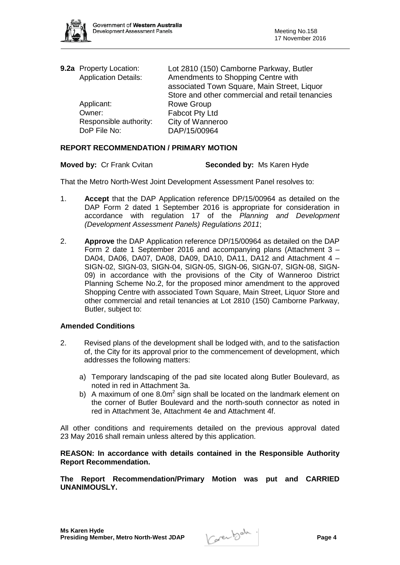

| 9.2a Property Location:<br><b>Application Details:</b> | Lot 2810 (150) Camborne Parkway, Butler<br>Amendments to Shopping Centre with<br>associated Town Square, Main Street, Liquor<br>Store and other commercial and retail tenancies |
|--------------------------------------------------------|---------------------------------------------------------------------------------------------------------------------------------------------------------------------------------|
| Applicant:                                             | Rowe Group                                                                                                                                                                      |
| Owner:                                                 | Fabcot Pty Ltd                                                                                                                                                                  |
| Responsible authority:                                 | City of Wanneroo                                                                                                                                                                |
| DoP File No:                                           | DAP/15/00964                                                                                                                                                                    |

# **REPORT RECOMMENDATION / PRIMARY MOTION**

| <b>Moved by: Cr Frank Cvitan</b> | Seconded by: Ms Karen Hyde |
|----------------------------------|----------------------------|
|----------------------------------|----------------------------|

That the Metro North-West Joint Development Assessment Panel resolves to:

- 1. **Accept** that the DAP Application reference DP/15/00964 as detailed on the DAP Form 2 dated 1 September 2016 is appropriate for consideration in accordance with regulation 17 of the *Planning and Development (Development Assessment Panels) Regulations 2011*;
- 2. **Approve** the DAP Application reference DP/15/00964 as detailed on the DAP Form 2 date 1 September 2016 and accompanying plans (Attachment 3 – DA04, DA06, DA07, DA08, DA09, DA10, DA11, DA12 and Attachment 4 – SIGN-02, SIGN-03, SIGN-04, SIGN-05, SIGN-06, SIGN-07, SIGN-08, SIGN-09) in accordance with the provisions of the City of Wanneroo District Planning Scheme No.2, for the proposed minor amendment to the approved Shopping Centre with associated Town Square, Main Street, Liquor Store and other commercial and retail tenancies at Lot 2810 (150) Camborne Parkway, Butler, subject to:

#### **Amended Conditions**

- 2. Revised plans of the development shall be lodged with, and to the satisfaction of, the City for its approval prior to the commencement of development, which addresses the following matters:
	- a) Temporary landscaping of the pad site located along Butler Boulevard, as noted in red in Attachment 3a.
	- b) A maximum of one  $8.0<sup>m<sup>2</sup></sup>$  sign shall be located on the landmark element on the corner of Butler Boulevard and the north-south connector as noted in red in Attachment 3e, Attachment 4e and Attachment 4f.

All other conditions and requirements detailed on the previous approval dated 23 May 2016 shall remain unless altered by this application.

#### **REASON: In accordance with details contained in the Responsible Authority Report Recommendation.**

**The Report Recommendation/Primary Motion was put and CARRIED UNANIMOUSLY.**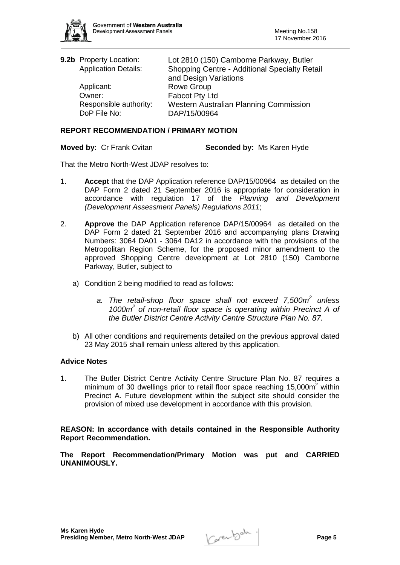

| 9.2b Property Location:     | Lot 2810 (150) Camborne Parkway, Butler       |
|-----------------------------|-----------------------------------------------|
| <b>Application Details:</b> | Shopping Centre - Additional Specialty Retail |
|                             | and Design Variations                         |
| Applicant:                  | <b>Rowe Group</b>                             |
| Owner:                      | Fabcot Pty Ltd                                |
| Responsible authority:      | Western Australian Planning Commission        |
| DoP File No:                | DAP/15/00964                                  |

#### **REPORT RECOMMENDATION / PRIMARY MOTION**

**Moved by: Cr Frank Cvitan <b>Seconded by:** Ms Karen Hyde

That the Metro North-West JDAP resolves to:

- 1. **Accept** that the DAP Application reference DAP/15/00964 as detailed on the DAP Form 2 dated 21 September 2016 is appropriate for consideration in accordance with regulation 17 of the *Planning and Development (Development Assessment Panels) Regulations 2011*;
- 2. **Approve** the DAP Application reference DAP/15/00964 as detailed on the DAP Form 2 dated 21 September 2016 and accompanying plans Drawing Numbers: 3064 DA01 - 3064 DA12 in accordance with the provisions of the Metropolitan Region Scheme, for the proposed minor amendment to the approved Shopping Centre development at Lot 2810 (150) Camborne Parkway, Butler, subject to
	- a) Condition 2 being modified to read as follows:
		- *a. The retail-shop floor space shall not exceed 7,500m2 unless 1000m2 of non-retail floor space is operating within Precinct A of the Butler District Centre Activity Centre Structure Plan No. 87.*
	- b) All other conditions and requirements detailed on the previous approval dated 23 May 2015 shall remain unless altered by this application.

#### **Advice Notes**

1. The Butler District Centre Activity Centre Structure Plan No. 87 requires a minimum of 30 dwellings prior to retail floor space reaching  $15,000m^2$  within Precinct A. Future development within the subject site should consider the provision of mixed use development in accordance with this provision.

**REASON: In accordance with details contained in the Responsible Authority Report Recommendation.** 

**The Report Recommendation/Primary Motion was put and CARRIED UNANIMOUSLY.**